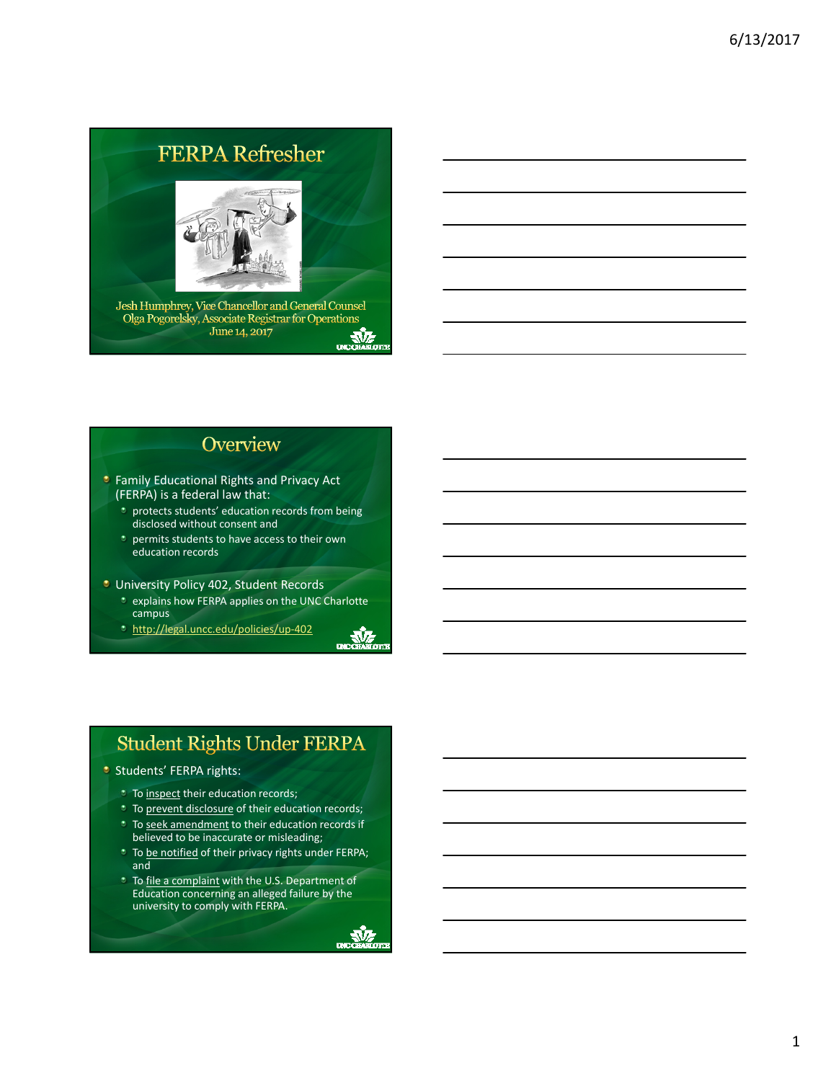# **FERPA Refresher**



Jesh Humphrey, Vice Chancellor and General Counsel Olga Pogorelsky, Associate Registrar for Operations<br>June 14, 2017  $\frac{\sqrt{2}}{\sqrt{2}}$ 

#### Overview

- *C* Family Educational Rights and Privacy Act (FERPA) is a federal law that:
	- **protects students' education records from being** disclosed without consent and
	- *p* permits students to have access to their own education records

#### **University Policy 402, Student Records**

- explains how FERPA applies on the UNC Charlotte campus
- http://legal.uncc.edu/policies/up‐402

# **Student Rights Under FERPA**

- **Students' FERPA rights:** 
	- **To inspect their education records;**
	- **To prevent disclosure of their education records;**
	- **To seek amendment to their education records if**
	- believed to be inaccurate or misleading;
	- <sup>\*</sup> To be notified of their privacy rights under FERPA; and
	- **To file a complaint with the U.S. Department of** Education concerning an alleged failure by the university to comply with FERPA.



V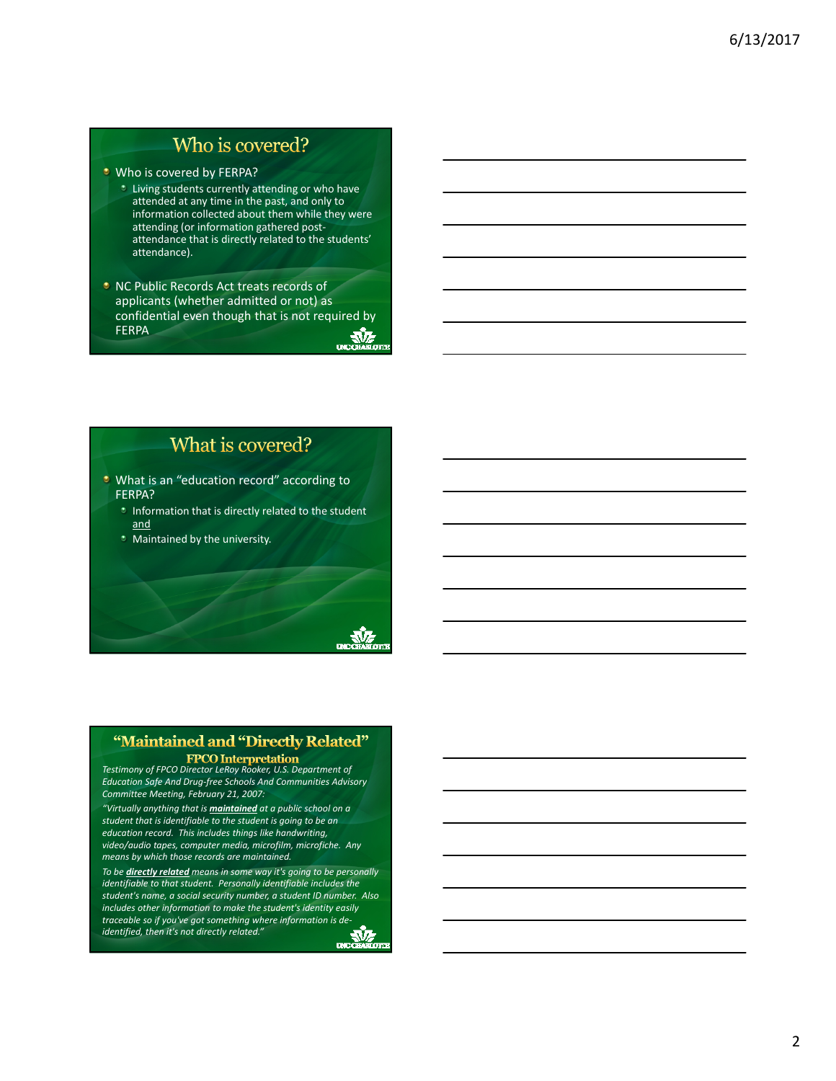#### Who is covered?

**U** Who is covered by FERPA?

- Living students currently attending or who have attended at any time in the past, and only to information collected about them while they were attending (or information gathered post‐ attendance that is directly related to the students' attendance).
- **NC Public Records Act treats records of** applicants (whether admitted or not) as confidential even though that is not required by **FERPA AVE**

### What is covered?

- **U** What is an "education record" according to FERPA?
	- *Information that is directly related to the student* and
	- Maintained by the university.

#### "Maintained and "Directly Related"

*Testimony of FPCO Director LeRoy Rooker, U.S. Department of Education Safe And Drug‐free Schools And Communities Advisory Committee Meeting, February 21, 2007:*

*"Virtually anything that is maintained at a public school on a student that is identifiable to the student is going to be an education record. This includes things like handwriting, video/audio tapes, computer media, microfilm, microfiche. Any means by which those records are maintained.*

*To be directly related means in some way it's going to be personally identifiable to that student. Personally identifiable includes the student's name, a social security number, a student ID number. Also includes other information to make the student's identity easily traceable so if you've got something where information is de‐ identified, then it's not directly related."* $\frac{M}{2}$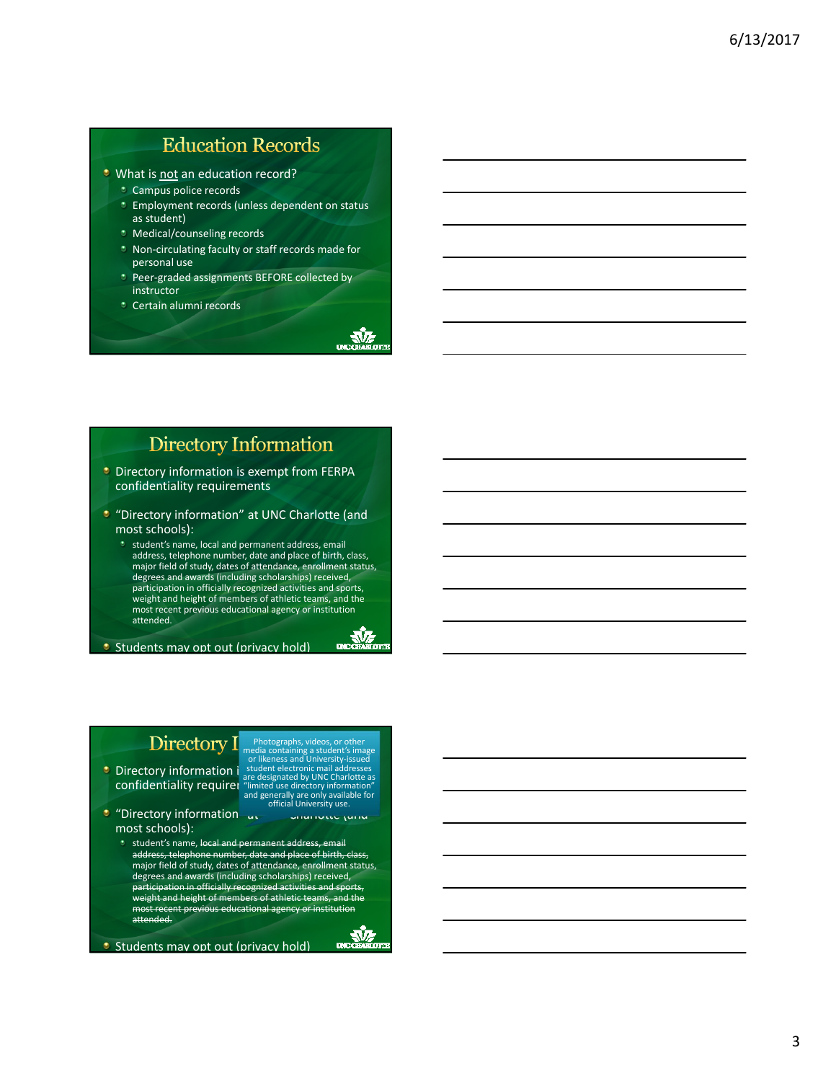# **Education Records**

- **U** What is not an education record?
	- Campus police records
	- **Employment records (unless dependent on status** as student)
	- Medical/counseling records
	- Non‐circulating faculty or staff records made for personal use
	- \* Peer-graded assignments BEFORE collected by instructor

 $\frac{\sqrt{2}}{\sqrt{2}}$ 

**LACCHARGE** 

 $\frac{\sqrt{2}}{\sqrt{2}}$ 

Certain alumni records

#### **Directory Information**

- **Directory information is exempt from FERPA** confidentiality requirements
- **•** "Directory information" at UNC Charlotte (and most schools):
	- **\*** student's name, local and permanent address, email address, telephone number, date and place of birth, class, major field of study, dates of attendance, enrollment status, degrees and awards (including scholarships) received, participation in officially recognized activities and sports, weight and height of members of athletic teams, and the most recent previous educational agency or institution attended.

**Students may opt out (privacy hold)** 

#### Directory I

Directory information  $\frac{1}{2}$  student electronic mail address confidentiality requirer "limited

Photographs, videos, or other<br>media containing a student's image<br>or likeness and University-issued<br>student electronic mail addresses<br>are designated by UNC Charlotte as<br>"limited use directory information"<br>and generally are

- "Directory information" at The University (and most schools):
	- **\*** student's name, local and permanent address, email address, telephone number, date and place of birth, class,<br>major field of study, dates of attendance, enrollment status, degrees and awards (including scholarships) received, participation in officially recognized activities and sports, weight and height of members of athletic teams, and the recent previous educational attended.

**Students may opt out (privacy hold)**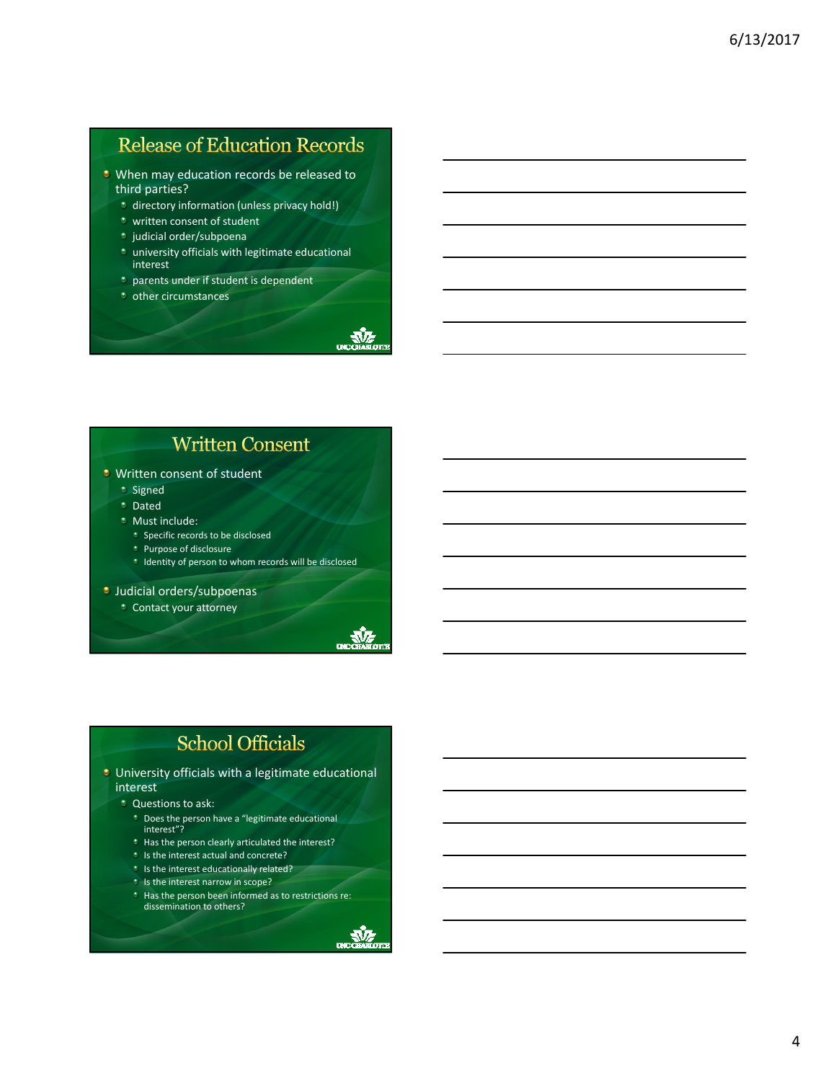# **Release of Education Records**

- **When may education records be released to** third parties?
	- **t** directory information (unless privacy hold!)
	- $*$  written consent of student
	- <sup>\*</sup> judicial order/subpoena
	- *t* university officials with legitimate educational interest
	- *parents under if student is dependent*
	- *\** other circumstances

### **Written Consent**

#### **U** Written consent of student

- **\*** Signed
- **\*** Dated
- **Must include:** 
	- **Specific records to be disclosed**
	- *De Purpose of disclosure*
	- Identity of person to whom records will be disclosed

**Judicial orders/subpoenas** 

Contact your attorney



 $\frac{1}{\sqrt{2}}$ 

# **School Officials**

- **University officials with a legitimate educational** interest
	- **C** Questions to ask:
		-
		- Does the person have a "legitimate educational interest"?
		- **t** Has the person clearly articulated the interest?
		- *I* Is the interest actual and concrete?
		- **Is the interest educationally related?**
		- $\cdot$  Is the interest narrow in scope?
		- **\*** Has the person been informed as to restrictions re: dissemination to others?

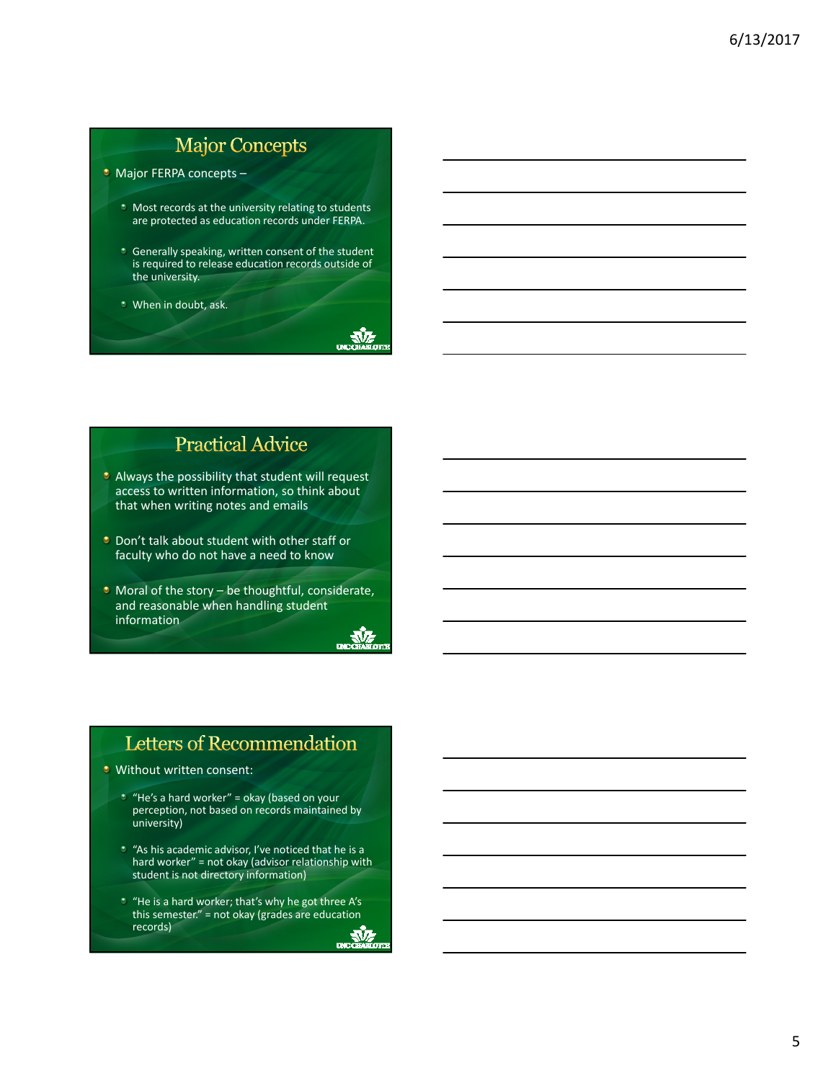# **Major Concepts**

**Major FERPA concepts -**

- **\*** Most records at the university relating to students are protected as education records under FERPA.
- **C** Generally speaking, written consent of the student is required to release education records outside of the university.
- When in doubt, ask.

# **Practical Advice**

- Always the possibility that student will request access to written information, so think about that when writing notes and emails
- **Don't talk about student with other staff or** faculty who do not have a need to know
- $\bullet$  Moral of the story be thoughtful, considerate, and reasonable when handling student information



# Letters of Recommendation

- **Without written consent:** 
	- $"$  "He's a hard worker" = okay (based on your perception, not based on records maintained by university)
	- "As his academic advisor, I've noticed that he is a hard worker" = not okay (advisor relationship with student is not directory information)
	- "He is a hard worker; that's why he got three A's this semester." = not okay (grades are education records) $\mathbb{R}$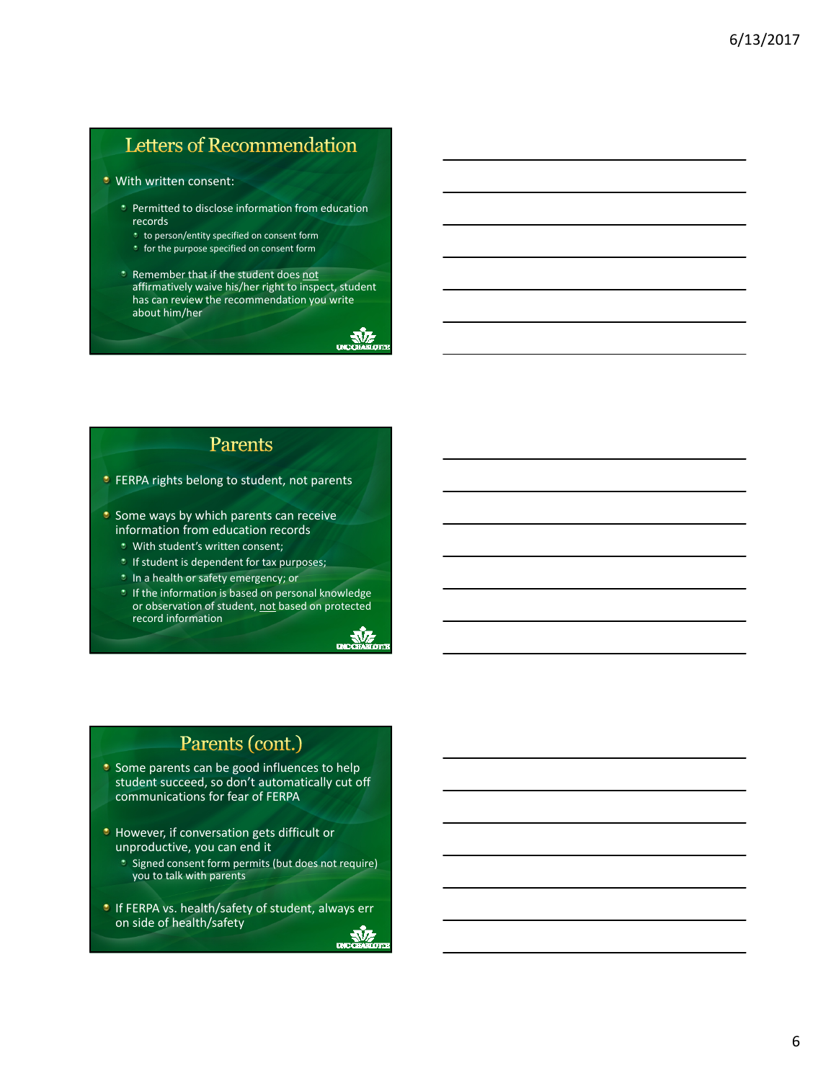# Letters of Recommendation

#### **U** With written consent:

- **•** Permitted to disclose information from education records
	- **t** to person/entity specified on consent form
	- *t* for the purpose specified on consent form
- Remember that if the student does not affirmatively waive his/her right to inspect, student has can review the recommendation you write about him/her



- **C** FERPA rights belong to student, not parents
- $\bullet$  Some ways by which parents can receive information from education records
	- With student's written consent;
	- **If student is dependent for tax purposes;**
	- In a health or safety emergency; or
	- $\bullet$  If the information is based on personal knowledge or observation of student, not based on protected record information



**AVE** 

# Parents (cont.)

- $\bullet$  Some parents can be good influences to help student succeed, so don't automatically cut off communications for fear of FERPA
- **However, if conversation gets difficult or** unproductive, you can end it
	- Signed consent form permits (but does not require) you to talk with parents
- **If FERPA vs. health/safety of student, always err** on side of health/safetyv

6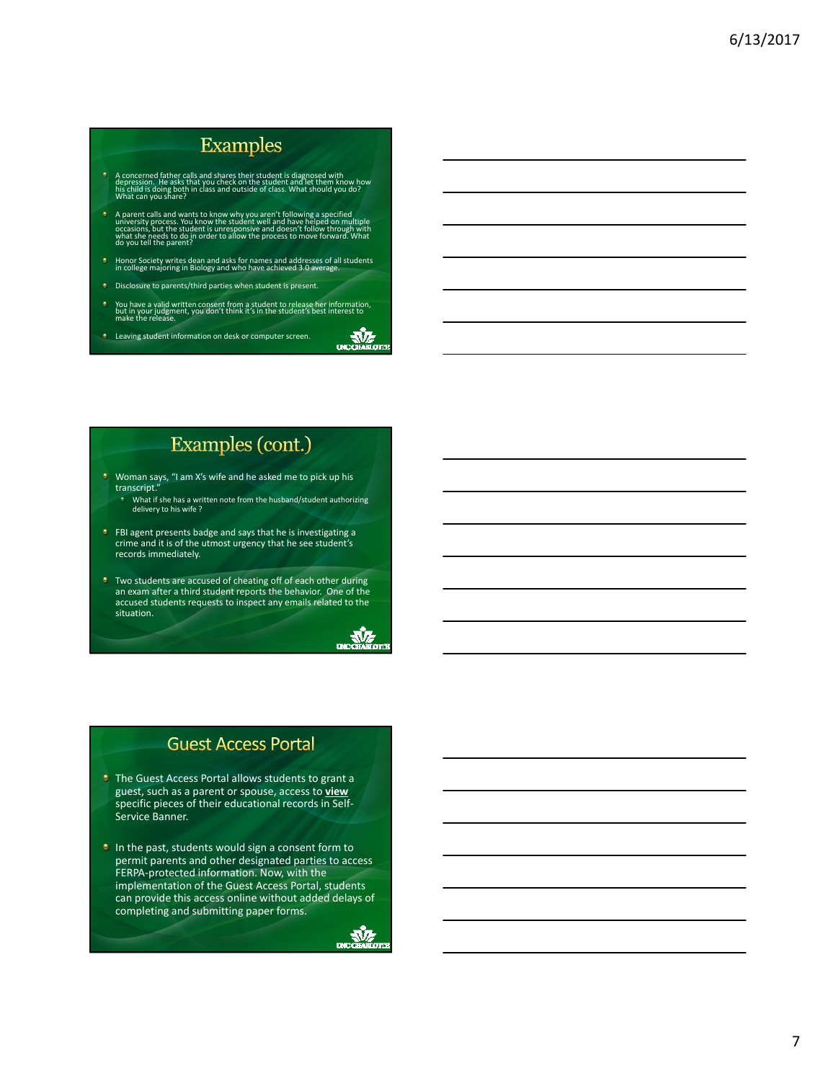# **Examples**

- concerned father calls and shares their student is diagnosed with<br>pression. He asks that you check on the student and let them know how<br>child is doing both in class and outside of class. What should you do?<br>hat can you sha
- A parent calls and wants to know why you aren't following a specified<br>university process. You know the student well and have helped on<br>occasions, but the student is unresponsive and doesn't follow through with<br>what she nee
- Honor Society writes dean and asks for names and addresses of all students in college majoring in Biology and who have achieved 3.0 average.
- Disclosure to parents/third parties when student is present.
- You have a valid written consent from a student to release her information,<br>but in your judgment, you don't think it's in the student's best interest to<br>make the release.
- **Leaving student information on desk or computer screen.**

# Examples (cont.)

- Woman says, "I am X's wife and he asked me to pick up his transcript."
- What if she has a written note from the husband/student authorizing delivery to his wife ?
- **•** FBI agent presents badge and says that he is investigating a crime and it is of the utmost urgency that he see student's records immediately.
- **T** Two students are accused of cheating off of each other during an exam after a third student reports the behavior. One of the accused students requests to inspect any emails related to the situation.

#### $\frac{1}{2}$

UNCOHARLOID

#### **Guest Access Portal**

- **The Guest Access Portal allows students to grant a** guest, such as a parent or spouse, access to **view** specific pieces of their educational records in Self‐ Service Banner.
- In the past, students would sign a consent form to permit parents and other designated parties to access FERPA‐protected information. Now, with the implementation of the Guest Access Portal, students can provide this access online without added delays of completing and submitting paper forms.

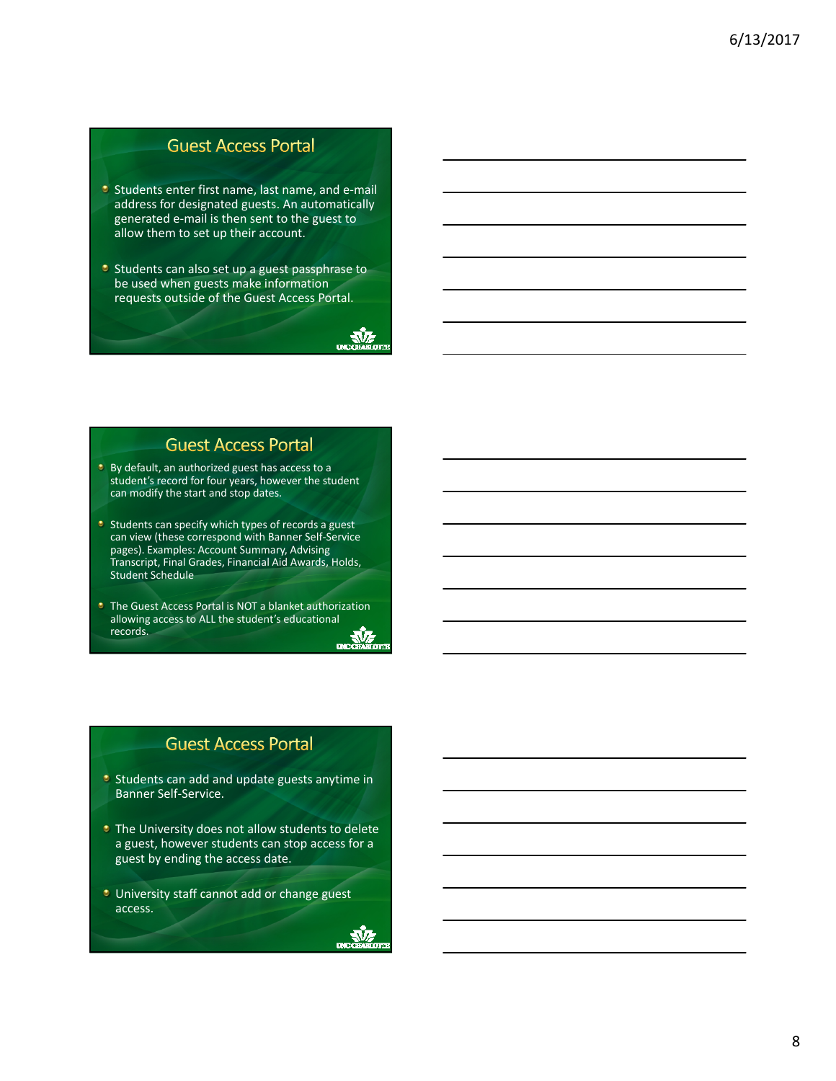#### **Guest Access Portal**

- **Students enter first name, last name, and e-mail** address for designated guests. An automatically generated e‐mail is then sent to the guest to allow them to set up their account.
- **C** Students can also set up a guest passphrase to be used when guests make information requests outside of the Guest Access Portal.

**AVA** 

мz

#### **Guest Access Portal**

- **By default, an authorized guest has access to a** student's record for four years, however the student can modify the start and stop dates.
- $\bullet$  Students can specify which types of records a guest can view (these correspond with Banner Self‐Service pages). Examples: Account Summary, Advising Transcript, Final Grades, Financial Aid Awards, Holds, Student Schedule
- **The Guest Access Portal is NOT a blanket authorization** allowing access to ALL the student's educational records. records.

#### **Guest Access Portal**

- **Students can add and update guests anytime in** Banner Self‐Service.
- **The University does not allow students to delete** a guest, however students can stop access for a guest by ending the access date.
- **University staff cannot add or change guest** access.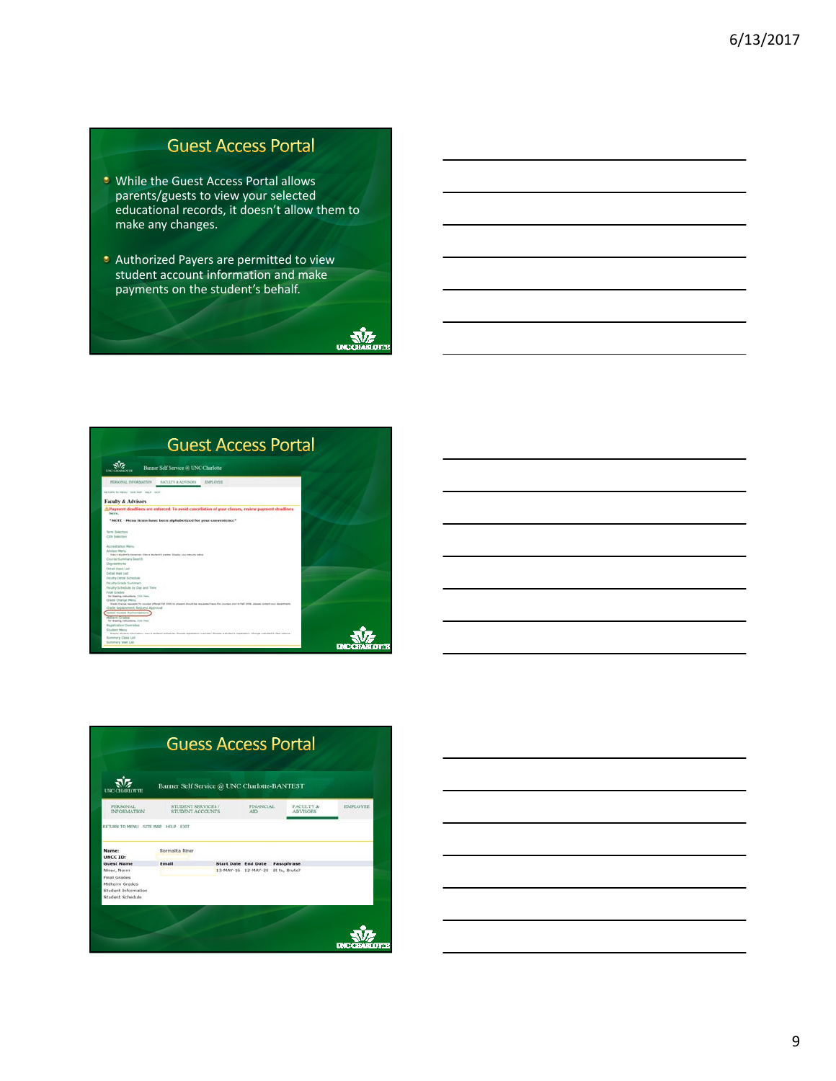### **Guest Access Portal**

- **URICE 15 Ville the Guest Access Portal allows** parents/guests to view your selected educational records, it doesn't allow them to make any changes.
- **C** Authorized Payers are permitted to view student account information and make payments on the student's behalf.



| <b>Guest Access Portal</b>                                                                                                                                                |  |
|---------------------------------------------------------------------------------------------------------------------------------------------------------------------------|--|
| Banner Self Service GE UNC Charlotte<br><b>UNE CRASSITY</b>                                                                                                               |  |
| PERSONAL INFORMATION<br><b>SACULTY &amp; ATVISORS</b><br><b>IMPLUVEE</b>                                                                                                  |  |
| <b>RETURN TO HENU TOTE HAR HELP EXT</b>                                                                                                                                   |  |
| <b>Faculty &amp; Advisors</b>                                                                                                                                             |  |
| A Payment deadlines are enforced. To avoid cancellation of your classes, review payment deadlines.<br>here.                                                               |  |
| *NOTE - Menu items have been alphabetized for your convenience*                                                                                                           |  |
| <b>Term Salertoon</b>                                                                                                                                                     |  |
| <b>CIOV</b> Syderman                                                                                                                                                      |  |
| Accounts attorn Werner                                                                                                                                                    |  |
| Adults or Mental<br>there explores because, there explores grades thates your security what<br>Course Summary Dearch                                                      |  |
| Depreeditorke                                                                                                                                                             |  |
| <b>Ortal Daid Litt</b>                                                                                                                                                    |  |
| Detail Mart Last<br><b>Faculty Detail Schedule</b>                                                                                                                        |  |
| Faculty Grade Summary                                                                                                                                                     |  |
| Faculty Schedule by Day and Teler                                                                                                                                         |  |
| <b>Final Grades</b>                                                                                                                                                       |  |
| For Starting Instructions, 1703 Form<br>Grade Chevie Herst                                                                                                                |  |
| Stade thange requests for courses offered Fed 2019 to present should be requested here. For courses and to fell 2026, please compt your department.                       |  |
| Grade Replacement Request Approval                                                                                                                                        |  |
| Guest Arrang Authorizations                                                                                                                                               |  |
| For Sheding Institutions, (703) Fore-                                                                                                                                     |  |
| Registration Detroites                                                                                                                                                    |  |
| <b>Churlers Menu</b>                                                                                                                                                      |  |
| Staziko alpisek triomatom, trava a aluzkoti arhadula: Proses registratur ovaridas: fitoase a aluzkotis nagatraton. Charge a aluzkotis (das) satura.<br>Summers Class Ltd. |  |
| Summary Vitel Ltd.                                                                                                                                                        |  |

| Banner Self Service @ UNC Charlotte-BANTEST<br><b>LINE</b> |                                        |  |                                                                 |            |                              |                 |  |
|------------------------------------------------------------|----------------------------------------|--|-----------------------------------------------------------------|------------|------------------------------|-----------------|--|
| PERSONAL.<br><b>INFORMATION</b>                            | STUDENT SERVICES /<br>STUDENT ACCOUNTS |  | FINANCIAL.<br>AfD.                                              |            | FACULTY &<br><b>ADVISORS</b> | <b>EMPLOYEE</b> |  |
| <b>Guest Name</b><br>Niner, Norm                           | Email                                  |  | <b>Start Date</b> End Date<br>13-MAY-16 12-MAY-20 Et tu, Bruto? | Passphrase |                              |                 |  |
| <b>Final Grades</b>                                        |                                        |  |                                                                 |            |                              |                 |  |
| Midterm Grades<br>Student Information                      |                                        |  |                                                                 |            |                              |                 |  |
|                                                            |                                        |  |                                                                 |            |                              |                 |  |